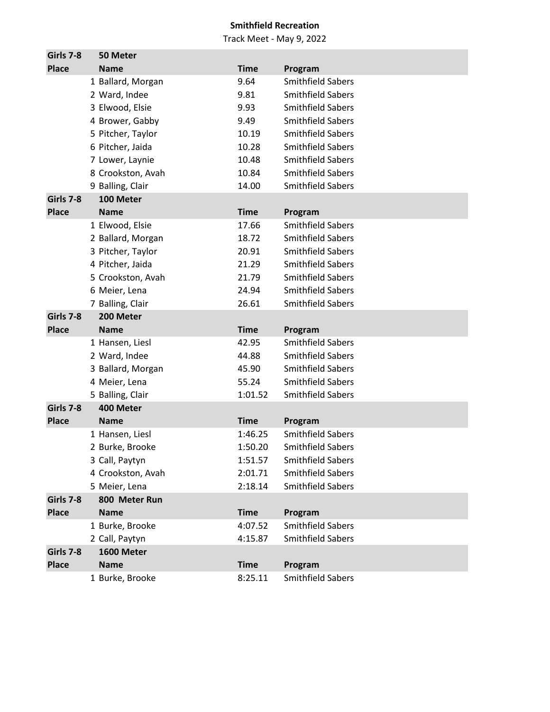| Girls 7-8    | 50 Meter          |             |                          |
|--------------|-------------------|-------------|--------------------------|
| <b>Place</b> | <b>Name</b>       | <b>Time</b> | Program                  |
|              | 1 Ballard, Morgan | 9.64        | <b>Smithfield Sabers</b> |
|              | 2 Ward, Indee     | 9.81        | <b>Smithfield Sabers</b> |
|              | 3 Elwood, Elsie   | 9.93        | <b>Smithfield Sabers</b> |
|              | 4 Brower, Gabby   | 9.49        | <b>Smithfield Sabers</b> |
|              | 5 Pitcher, Taylor | 10.19       | <b>Smithfield Sabers</b> |
|              | 6 Pitcher, Jaida  | 10.28       | <b>Smithfield Sabers</b> |
|              | 7 Lower, Laynie   | 10.48       | <b>Smithfield Sabers</b> |
|              | 8 Crookston, Avah | 10.84       | <b>Smithfield Sabers</b> |
|              | 9 Balling, Clair  | 14.00       | <b>Smithfield Sabers</b> |
| Girls 7-8    | 100 Meter         |             |                          |
| <b>Place</b> | <b>Name</b>       | <b>Time</b> | Program                  |
|              | 1 Elwood, Elsie   | 17.66       | <b>Smithfield Sabers</b> |
|              | 2 Ballard, Morgan | 18.72       | <b>Smithfield Sabers</b> |
|              | 3 Pitcher, Taylor | 20.91       | <b>Smithfield Sabers</b> |
|              | 4 Pitcher, Jaida  | 21.29       | <b>Smithfield Sabers</b> |
|              | 5 Crookston, Avah | 21.79       | <b>Smithfield Sabers</b> |
|              | 6 Meier, Lena     | 24.94       | <b>Smithfield Sabers</b> |
|              | 7 Balling, Clair  | 26.61       | <b>Smithfield Sabers</b> |
| Girls 7-8    | 200 Meter         |             |                          |
| <b>Place</b> | <b>Name</b>       | <b>Time</b> | Program                  |
|              | 1 Hansen, Liesl   | 42.95       | <b>Smithfield Sabers</b> |
|              | 2 Ward, Indee     | 44.88       | <b>Smithfield Sabers</b> |
|              | 3 Ballard, Morgan | 45.90       | <b>Smithfield Sabers</b> |
|              | 4 Meier, Lena     | 55.24       | <b>Smithfield Sabers</b> |
|              | 5 Balling, Clair  | 1:01.52     | <b>Smithfield Sabers</b> |
| Girls 7-8    | 400 Meter         |             |                          |
| <b>Place</b> | <b>Name</b>       | <b>Time</b> | Program                  |
|              | 1 Hansen, Liesl   | 1:46.25     | <b>Smithfield Sabers</b> |
|              | 2 Burke, Brooke   | 1:50.20     | <b>Smithfield Sabers</b> |
|              | 3 Call, Paytyn    | 1:51.57     | <b>Smithfield Sabers</b> |
|              | 4 Crookston, Avah | 2:01.71     | <b>Smithfield Sabers</b> |
|              | 5 Meier, Lena     | 2:18.14     | <b>Smithfield Sabers</b> |
| Girls 7-8    | 800 Meter Run     |             |                          |
| <b>Place</b> | <b>Name</b>       | <b>Time</b> | Program                  |
|              | 1 Burke, Brooke   | 4:07.52     | <b>Smithfield Sabers</b> |
|              | 2 Call, Paytyn    | 4:15.87     | <b>Smithfield Sabers</b> |
| Girls 7-8    | 1600 Meter        |             |                          |
| <b>Place</b> | <b>Name</b>       | <b>Time</b> | Program                  |
|              | 1 Burke, Brooke   | 8:25.11     | <b>Smithfield Sabers</b> |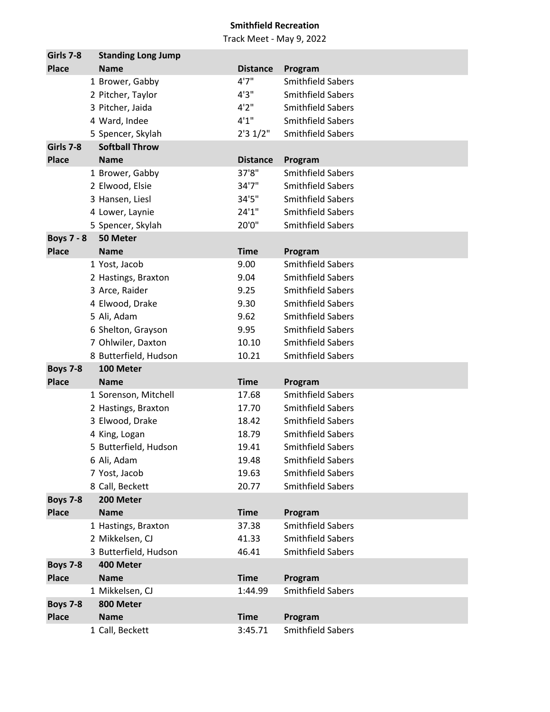| Girls 7-8         | <b>Standing Long Jump</b> |                 |                          |
|-------------------|---------------------------|-----------------|--------------------------|
| <b>Place</b>      | <b>Name</b>               | <b>Distance</b> | Program                  |
|                   | 1 Brower, Gabby           | 4'7''           | <b>Smithfield Sabers</b> |
|                   | 2 Pitcher, Taylor         | 4'3''           | <b>Smithfield Sabers</b> |
|                   | 3 Pitcher, Jaida          | 4'2''           | <b>Smithfield Sabers</b> |
|                   | 4 Ward, Indee             | 4'1''           | <b>Smithfield Sabers</b> |
|                   | 5 Spencer, Skylah         | 2'31/2"         | <b>Smithfield Sabers</b> |
| Girls 7-8         | <b>Softball Throw</b>     |                 |                          |
| <b>Place</b>      | <b>Name</b>               | <b>Distance</b> | Program                  |
|                   | 1 Brower, Gabby           | 37'8"           | <b>Smithfield Sabers</b> |
|                   | 2 Elwood, Elsie           | 34'7"           | <b>Smithfield Sabers</b> |
|                   | 3 Hansen, Liesl           | 34'5"           | <b>Smithfield Sabers</b> |
|                   | 4 Lower, Laynie           | 24'1''          | <b>Smithfield Sabers</b> |
|                   | 5 Spencer, Skylah         | 20'0"           | <b>Smithfield Sabers</b> |
| <b>Boys 7 - 8</b> | 50 Meter                  |                 |                          |
| <b>Place</b>      | <b>Name</b>               | <b>Time</b>     | Program                  |
|                   | 1 Yost, Jacob             | 9.00            | <b>Smithfield Sabers</b> |
|                   | 2 Hastings, Braxton       | 9.04            | <b>Smithfield Sabers</b> |
|                   | 3 Arce, Raider            | 9.25            | <b>Smithfield Sabers</b> |
|                   | 4 Elwood, Drake           | 9.30            | <b>Smithfield Sabers</b> |
|                   | 5 Ali, Adam               | 9.62            | <b>Smithfield Sabers</b> |
|                   | 6 Shelton, Grayson        | 9.95            | <b>Smithfield Sabers</b> |
|                   | 7 Ohlwiler, Daxton        | 10.10           | <b>Smithfield Sabers</b> |
|                   | 8 Butterfield, Hudson     | 10.21           | <b>Smithfield Sabers</b> |
| <b>Boys 7-8</b>   | 100 Meter                 |                 |                          |
| <b>Place</b>      | <b>Name</b>               | <b>Time</b>     | Program                  |
|                   | 1 Sorenson, Mitchell      | 17.68           | <b>Smithfield Sabers</b> |
|                   | 2 Hastings, Braxton       | 17.70           | <b>Smithfield Sabers</b> |
|                   | 3 Elwood, Drake           | 18.42           | <b>Smithfield Sabers</b> |
|                   | 4 King, Logan             | 18.79           | <b>Smithfield Sabers</b> |
|                   | 5 Butterfield, Hudson     | 19.41           | <b>Smithfield Sabers</b> |
|                   | 6 Ali, Adam               | 19.48           | <b>Smithfield Sabers</b> |
|                   | 7 Yost, Jacob             | 19.63           | <b>Smithfield Sabers</b> |
|                   | 8 Call, Beckett           | 20.77           | <b>Smithfield Sabers</b> |
| <b>Boys 7-8</b>   | 200 Meter                 |                 |                          |
| <b>Place</b>      | <b>Name</b>               | <b>Time</b>     | Program                  |
|                   | 1 Hastings, Braxton       | 37.38           | <b>Smithfield Sabers</b> |
|                   | 2 Mikkelsen, CJ           | 41.33           | <b>Smithfield Sabers</b> |
|                   | 3 Butterfield, Hudson     | 46.41           | <b>Smithfield Sabers</b> |
| <b>Boys 7-8</b>   | 400 Meter                 |                 |                          |
| <b>Place</b>      | <b>Name</b>               | <b>Time</b>     | Program                  |
|                   | 1 Mikkelsen, CJ           | 1:44.99         | <b>Smithfield Sabers</b> |
| <b>Boys 7-8</b>   | 800 Meter                 |                 |                          |
| <b>Place</b>      | <b>Name</b>               | <b>Time</b>     | Program                  |
|                   | 1 Call, Beckett           | 3:45.71         | <b>Smithfield Sabers</b> |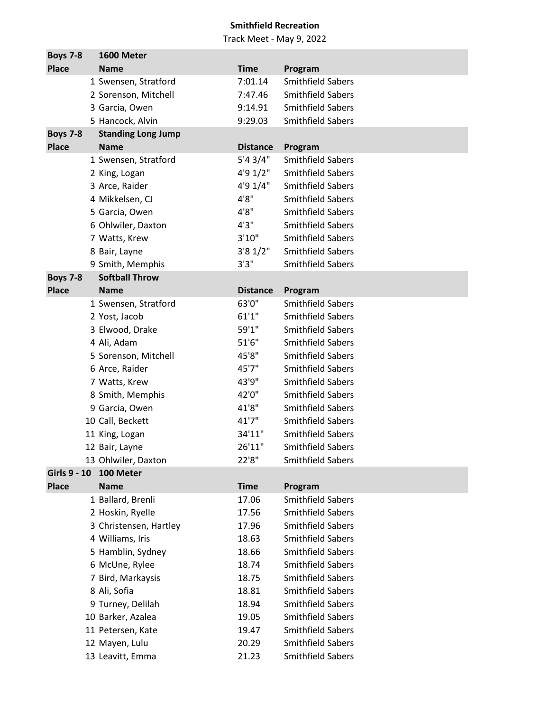| <b>Boys 7-8</b> | 1600 Meter                |                 |                                                      |
|-----------------|---------------------------|-----------------|------------------------------------------------------|
| <b>Place</b>    | <b>Name</b>               | <b>Time</b>     | Program                                              |
|                 | 1 Swensen, Stratford      | 7:01.14         | <b>Smithfield Sabers</b>                             |
|                 | 2 Sorenson, Mitchell      | 7:47.46         | <b>Smithfield Sabers</b>                             |
|                 | 3 Garcia, Owen            | 9:14.91         | <b>Smithfield Sabers</b>                             |
|                 | 5 Hancock, Alvin          | 9:29.03         | <b>Smithfield Sabers</b>                             |
| <b>Boys 7-8</b> | <b>Standing Long Jump</b> |                 |                                                      |
| <b>Place</b>    | <b>Name</b>               | <b>Distance</b> | Program                                              |
|                 | 1 Swensen, Stratford      | 5'43/4"         | <b>Smithfield Sabers</b>                             |
|                 | 2 King, Logan             | 4'9 1/2"        | <b>Smithfield Sabers</b>                             |
|                 | 3 Arce, Raider            | 4'9 1/4"        | <b>Smithfield Sabers</b>                             |
|                 | 4 Mikkelsen, CJ           | 4'8''           | <b>Smithfield Sabers</b>                             |
|                 | 5 Garcia, Owen            | 4'8''           | <b>Smithfield Sabers</b>                             |
|                 | 6 Ohlwiler, Daxton        | 4'3''           | <b>Smithfield Sabers</b>                             |
|                 | 7 Watts, Krew             | 3'10"           | <b>Smithfield Sabers</b>                             |
|                 | 8 Bair, Layne             | 3'81/2"         | <b>Smithfield Sabers</b>                             |
|                 | 9 Smith, Memphis          | 3'3''           | <b>Smithfield Sabers</b>                             |
| <b>Boys 7-8</b> | <b>Softball Throw</b>     |                 |                                                      |
| <b>Place</b>    | <b>Name</b>               | <b>Distance</b> | Program                                              |
|                 | 1 Swensen, Stratford      | 63'0"           | <b>Smithfield Sabers</b>                             |
|                 | 2 Yost, Jacob             | 61'1''          | <b>Smithfield Sabers</b>                             |
|                 | 3 Elwood, Drake           | 59'1"           | <b>Smithfield Sabers</b>                             |
|                 | 4 Ali, Adam               | 51'6''          | <b>Smithfield Sabers</b>                             |
|                 | 5 Sorenson, Mitchell      | 45'8"           | <b>Smithfield Sabers</b>                             |
|                 | 6 Arce, Raider            | 45'7"           | <b>Smithfield Sabers</b>                             |
|                 | 7 Watts, Krew             | 43'9"           | <b>Smithfield Sabers</b>                             |
|                 | 8 Smith, Memphis          | 42'0"           | <b>Smithfield Sabers</b>                             |
|                 | 9 Garcia, Owen            | 41'8"           | <b>Smithfield Sabers</b>                             |
|                 | 10 Call, Beckett          | 41'7''          | <b>Smithfield Sabers</b>                             |
|                 | 11 King, Logan            | 34'11"          | <b>Smithfield Sabers</b>                             |
|                 | 12 Bair, Layne            | 26'11"          | Smithfield Sabers                                    |
|                 | 13 Ohlwiler, Daxton       | 22'8"           | <b>Smithfield Sabers</b>                             |
| Girls 9 - 10    | 100 Meter                 |                 |                                                      |
| <b>Place</b>    | <b>Name</b>               | <b>Time</b>     | Program<br><b>Smithfield Sabers</b>                  |
|                 | 1 Ballard, Brenli         | 17.06           |                                                      |
|                 | 2 Hoskin, Ryelle          | 17.56           | <b>Smithfield Sabers</b>                             |
|                 | 3 Christensen, Hartley    | 17.96           | <b>Smithfield Sabers</b><br><b>Smithfield Sabers</b> |
|                 | 4 Williams, Iris          | 18.63           |                                                      |
|                 | 5 Hamblin, Sydney         | 18.66           | <b>Smithfield Sabers</b>                             |
|                 | 6 McUne, Rylee            | 18.74           | <b>Smithfield Sabers</b>                             |
|                 | 7 Bird, Markaysis         | 18.75           | <b>Smithfield Sabers</b><br><b>Smithfield Sabers</b> |
|                 | 8 Ali, Sofia              | 18.81           |                                                      |
|                 | 9 Turney, Delilah         | 18.94           | <b>Smithfield Sabers</b>                             |
|                 | 10 Barker, Azalea         | 19.05           | <b>Smithfield Sabers</b>                             |
|                 | 11 Petersen, Kate         | 19.47           | <b>Smithfield Sabers</b>                             |
|                 | 12 Mayen, Lulu            | 20.29           | <b>Smithfield Sabers</b>                             |
|                 | 13 Leavitt, Emma          | 21.23           | Smithfield Sabers                                    |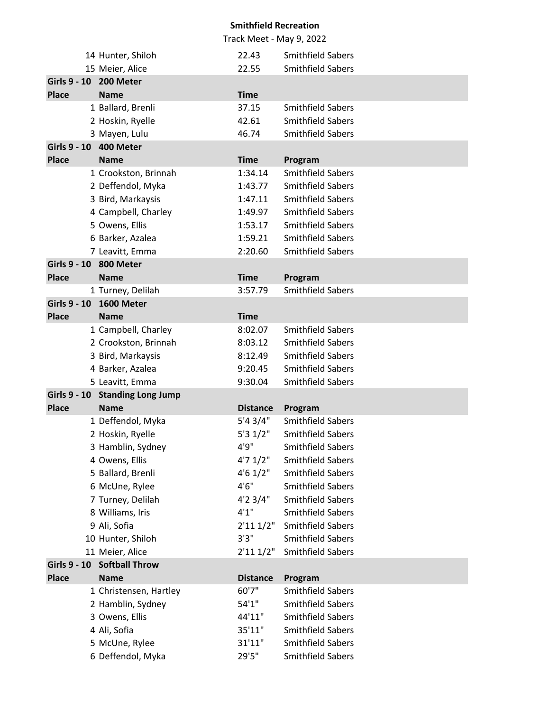|                     |                                                |                     | Track Meet - May 9, 2022                             |
|---------------------|------------------------------------------------|---------------------|------------------------------------------------------|
|                     | 14 Hunter, Shiloh                              | 22.43               | <b>Smithfield Sabers</b>                             |
|                     | 15 Meier, Alice                                | 22.55               | <b>Smithfield Sabers</b>                             |
|                     | Girls 9 - 10 200 Meter                         |                     |                                                      |
| <b>Place</b>        | <b>Name</b>                                    | <b>Time</b>         |                                                      |
|                     | 1 Ballard, Brenli                              | 37.15               | <b>Smithfield Sabers</b>                             |
|                     | 2 Hoskin, Ryelle                               | 42.61               | <b>Smithfield Sabers</b>                             |
|                     | 3 Mayen, Lulu                                  | 46.74               | <b>Smithfield Sabers</b>                             |
|                     | Girls 9 - 10 400 Meter                         |                     |                                                      |
| <b>Place</b>        | <b>Name</b>                                    | <b>Time</b>         | Program                                              |
|                     | 1 Crookston, Brinnah                           | 1:34.14             | <b>Smithfield Sabers</b>                             |
|                     | 2 Deffendol, Myka                              | 1:43.77             | <b>Smithfield Sabers</b>                             |
|                     | 3 Bird, Markaysis                              | 1:47.11             | <b>Smithfield Sabers</b>                             |
|                     | 4 Campbell, Charley                            | 1:49.97             | <b>Smithfield Sabers</b>                             |
|                     | 5 Owens, Ellis                                 | 1:53.17             | <b>Smithfield Sabers</b>                             |
|                     | 6 Barker, Azalea                               | 1:59.21             | <b>Smithfield Sabers</b>                             |
|                     | 7 Leavitt, Emma                                | 2:20.60             | <b>Smithfield Sabers</b>                             |
|                     | Girls 9 - 10 800 Meter                         |                     |                                                      |
| <b>Place</b>        | <b>Name</b>                                    | <b>Time</b>         | Program                                              |
|                     | 1 Turney, Delilah                              | 3:57.79             | <b>Smithfield Sabers</b>                             |
| <b>Girls 9 - 10</b> | 1600 Meter                                     |                     |                                                      |
| <b>Place</b>        | <b>Name</b>                                    | <b>Time</b>         |                                                      |
|                     | 1 Campbell, Charley                            | 8:02.07             | <b>Smithfield Sabers</b>                             |
|                     | 2 Crookston, Brinnah                           | 8:03.12             | <b>Smithfield Sabers</b>                             |
|                     | 3 Bird, Markaysis                              | 8:12.49             | <b>Smithfield Sabers</b>                             |
|                     | 4 Barker, Azalea                               | 9:20.45             | <b>Smithfield Sabers</b>                             |
|                     | 5 Leavitt, Emma                                | 9:30.04             | <b>Smithfield Sabers</b>                             |
|                     | Girls 9 - 10 Standing Long Jump                |                     |                                                      |
| <b>Place</b>        | <b>Name</b>                                    | <b>Distance</b>     | Program                                              |
|                     | 1 Deffendol, Myka                              | 5'4 3/4"            | <b>Smithfield Sabers</b>                             |
|                     | 2 Hoskin, Ryelle                               | 5'31/2"             | <b>Smithfield Sabers</b>                             |
|                     | 3 Hamblin, Sydney                              | 4'9"                | Smithfield Sabers                                    |
|                     | 4 Owens, Ellis                                 | 4'71/2"             | <b>Smithfield Sabers</b>                             |
|                     | 5 Ballard, Brenli                              | $4'6$ 1/2"          | <b>Smithfield Sabers</b>                             |
|                     | 6 McUne, Rylee                                 | 4'6''               | <b>Smithfield Sabers</b>                             |
|                     | 7 Turney, Delilah                              | $4'2$ 3/4"<br>4'1'' | <b>Smithfield Sabers</b>                             |
|                     | 8 Williams, Iris                               |                     | <b>Smithfield Sabers</b><br><b>Smithfield Sabers</b> |
|                     | 9 Ali, Sofia                                   | 2'111/2"<br>3'3''   | <b>Smithfield Sabers</b>                             |
|                     | 10 Hunter, Shiloh                              |                     | <b>Smithfield Sabers</b>                             |
|                     | 11 Meier, Alice<br>Girls 9 - 10 Softball Throw | 2'111/2"            |                                                      |
| <b>Place</b>        | <b>Name</b>                                    | <b>Distance</b>     | Program                                              |
|                     | 1 Christensen, Hartley                         | 60'7"               | <b>Smithfield Sabers</b>                             |
|                     |                                                | 54'1''              | <b>Smithfield Sabers</b>                             |
|                     | 2 Hamblin, Sydney<br>3 Owens, Ellis            | 44'11"              | <b>Smithfield Sabers</b>                             |
|                     | 4 Ali, Sofia                                   | 35'11"              | <b>Smithfield Sabers</b>                             |
|                     | 5 McUne, Rylee                                 | 31'11"              | <b>Smithfield Sabers</b>                             |
|                     | 6 Deffendol, Myka                              | 29'5"               | <b>Smithfield Sabers</b>                             |
|                     |                                                |                     |                                                      |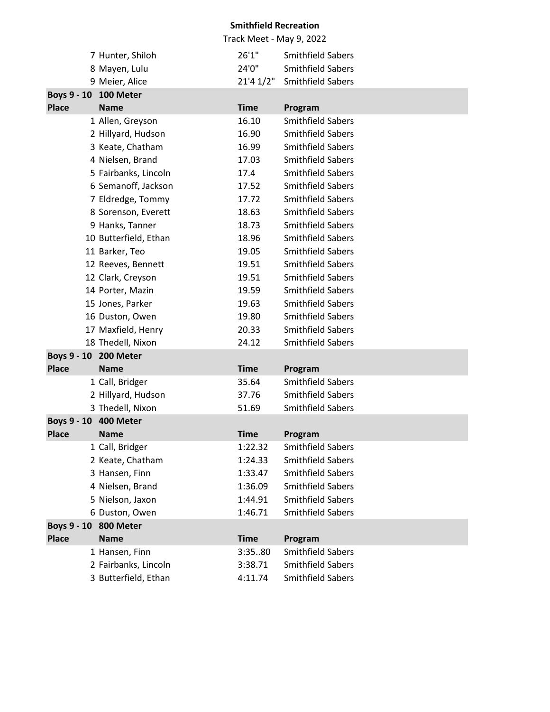|                       |                       |             | Track Meet - May 9, 2022 |
|-----------------------|-----------------------|-------------|--------------------------|
|                       | 7 Hunter, Shiloh      | 26'1"       | <b>Smithfield Sabers</b> |
|                       | 8 Mayen, Lulu         | 24'0"       | <b>Smithfield Sabers</b> |
|                       | 9 Meier, Alice        | 21'41/2''   | <b>Smithfield Sabers</b> |
| Boys 9 - 10 100 Meter |                       |             |                          |
| <b>Place</b>          | <b>Name</b>           | <b>Time</b> | Program                  |
|                       | 1 Allen, Greyson      | 16.10       | <b>Smithfield Sabers</b> |
|                       | 2 Hillyard, Hudson    | 16.90       | <b>Smithfield Sabers</b> |
|                       | 3 Keate, Chatham      | 16.99       | <b>Smithfield Sabers</b> |
|                       | 4 Nielsen, Brand      | 17.03       | <b>Smithfield Sabers</b> |
|                       | 5 Fairbanks, Lincoln  | 17.4        | <b>Smithfield Sabers</b> |
|                       | 6 Semanoff, Jackson   | 17.52       | <b>Smithfield Sabers</b> |
|                       | 7 Eldredge, Tommy     | 17.72       | <b>Smithfield Sabers</b> |
|                       | 8 Sorenson, Everett   | 18.63       | <b>Smithfield Sabers</b> |
|                       | 9 Hanks, Tanner       | 18.73       | <b>Smithfield Sabers</b> |
|                       | 10 Butterfield, Ethan | 18.96       | <b>Smithfield Sabers</b> |
|                       | 11 Barker, Teo        | 19.05       | <b>Smithfield Sabers</b> |
|                       | 12 Reeves, Bennett    | 19.51       | <b>Smithfield Sabers</b> |
|                       | 12 Clark, Creyson     | 19.51       | <b>Smithfield Sabers</b> |
|                       | 14 Porter, Mazin      | 19.59       | Smithfield Sabers        |
|                       | 15 Jones, Parker      | 19.63       | <b>Smithfield Sabers</b> |
|                       | 16 Duston, Owen       | 19.80       | <b>Smithfield Sabers</b> |
|                       | 17 Maxfield, Henry    | 20.33       | <b>Smithfield Sabers</b> |
|                       | 18 Thedell, Nixon     | 24.12       | <b>Smithfield Sabers</b> |
| Boys 9 - 10 200 Meter |                       |             |                          |
| <b>Place</b>          | <b>Name</b>           | <b>Time</b> | Program                  |
|                       | 1 Call, Bridger       | 35.64       | <b>Smithfield Sabers</b> |
|                       | 2 Hillyard, Hudson    | 37.76       | <b>Smithfield Sabers</b> |
|                       | 3 Thedell, Nixon      | 51.69       | <b>Smithfield Sabers</b> |
| Boys 9 - 10 400 Meter |                       |             |                          |
| <b>Place</b>          | <b>Name</b>           | <b>Time</b> | Program                  |
|                       | 1 Call, Bridger       | 1:22.32     | <b>Smithfield Sabers</b> |
|                       | 2 Keate, Chatham      | 1:24.33     | Smithfield Sabers        |
|                       | 3 Hansen, Finn        | 1:33.47     | <b>Smithfield Sabers</b> |
|                       | 4 Nielsen, Brand      | 1:36.09     | <b>Smithfield Sabers</b> |
|                       | 5 Nielson, Jaxon      | 1:44.91     | <b>Smithfield Sabers</b> |
|                       | 6 Duston, Owen        | 1:46.71     | <b>Smithfield Sabers</b> |
| Boys 9 - 10 800 Meter |                       |             |                          |
| <b>Place</b>          | <b>Name</b>           | <b>Time</b> | Program                  |
|                       | 1 Hansen, Finn        | 3:3580      | <b>Smithfield Sabers</b> |
|                       | 2 Fairbanks, Lincoln  | 3:38.71     | <b>Smithfield Sabers</b> |
|                       | 3 Butterfield, Ethan  | 4:11.74     | Smithfield Sabers        |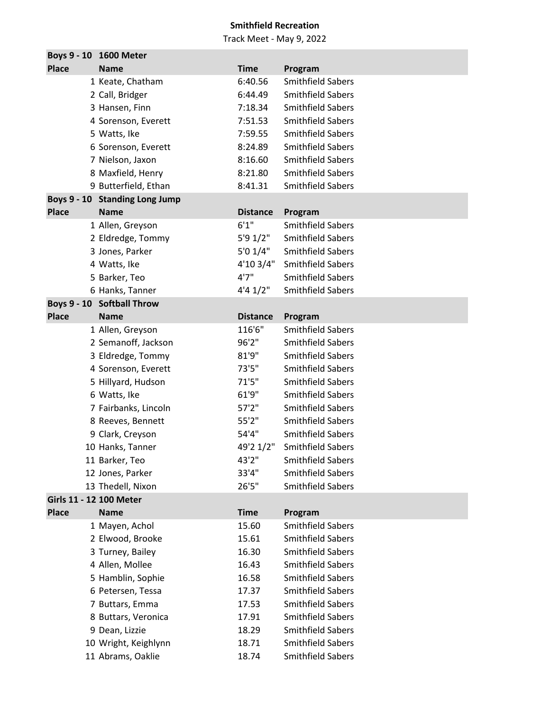|                         | Boys 9 - 10 1600 Meter         |                 |                          |
|-------------------------|--------------------------------|-----------------|--------------------------|
| <b>Place</b>            | <b>Name</b>                    | <b>Time</b>     | Program                  |
|                         | 1 Keate, Chatham               | 6:40.56         | <b>Smithfield Sabers</b> |
|                         | 2 Call, Bridger                | 6:44.49         | <b>Smithfield Sabers</b> |
|                         | 3 Hansen, Finn                 | 7:18.34         | <b>Smithfield Sabers</b> |
|                         | 4 Sorenson, Everett            | 7:51.53         | <b>Smithfield Sabers</b> |
|                         | 5 Watts, Ike                   | 7:59.55         | <b>Smithfield Sabers</b> |
|                         | 6 Sorenson, Everett            | 8:24.89         | <b>Smithfield Sabers</b> |
|                         | 7 Nielson, Jaxon               | 8:16.60         | <b>Smithfield Sabers</b> |
|                         | 8 Maxfield, Henry              | 8:21.80         | <b>Smithfield Sabers</b> |
|                         | 9 Butterfield, Ethan           | 8:41.31         | <b>Smithfield Sabers</b> |
|                         | Boys 9 - 10 Standing Long Jump |                 |                          |
| <b>Place</b>            | <b>Name</b>                    | <b>Distance</b> | Program                  |
|                         | 1 Allen, Greyson               | 6'1''           | <b>Smithfield Sabers</b> |
|                         | 2 Eldredge, Tommy              | $5'9$ $1/2"$    | <b>Smithfield Sabers</b> |
|                         | 3 Jones, Parker                | 5'01/4"         | <b>Smithfield Sabers</b> |
|                         | 4 Watts, Ike                   | 4'10 3/4"       | <b>Smithfield Sabers</b> |
|                         | 5 Barker, Teo                  | 4'7''           | <b>Smithfield Sabers</b> |
|                         | 6 Hanks, Tanner                | 4'41/2''        | <b>Smithfield Sabers</b> |
|                         | Boys 9 - 10 Softball Throw     |                 |                          |
| <b>Place</b>            | <b>Name</b>                    | <b>Distance</b> | Program                  |
|                         | 1 Allen, Greyson               | 116'6"          | <b>Smithfield Sabers</b> |
|                         | 2 Semanoff, Jackson            | 96'2"           | <b>Smithfield Sabers</b> |
|                         | 3 Eldredge, Tommy              | 81'9''          | <b>Smithfield Sabers</b> |
|                         | 4 Sorenson, Everett            | 73'5"           | <b>Smithfield Sabers</b> |
|                         | 5 Hillyard, Hudson             | 71'5''          | <b>Smithfield Sabers</b> |
|                         | 6 Watts, Ike                   | 61'9"           | <b>Smithfield Sabers</b> |
|                         | 7 Fairbanks, Lincoln           | 57'2''          | <b>Smithfield Sabers</b> |
|                         | 8 Reeves, Bennett              | 55'2"           | <b>Smithfield Sabers</b> |
|                         | 9 Clark, Creyson               | 54'4"           | <b>Smithfield Sabers</b> |
|                         | 10 Hanks, Tanner               | 49'2 1/2"       | <b>Smithfield Sabers</b> |
|                         | 11 Barker, Teo                 | 43'2"           | <b>Smithfield Sabers</b> |
|                         | 12 Jones, Parker               | 33'4"           | <b>Smithfield Sabers</b> |
|                         | 13 Thedell, Nixon              | 26'5"           | <b>Smithfield Sabers</b> |
| Girls 11 - 12 100 Meter |                                |                 |                          |
| <b>Place</b>            | <b>Name</b>                    | <b>Time</b>     | Program                  |
|                         | 1 Mayen, Achol                 | 15.60           | <b>Smithfield Sabers</b> |
|                         | 2 Elwood, Brooke               | 15.61           | <b>Smithfield Sabers</b> |
|                         | 3 Turney, Bailey               | 16.30           | <b>Smithfield Sabers</b> |
|                         | 4 Allen, Mollee                | 16.43           | <b>Smithfield Sabers</b> |
|                         | 5 Hamblin, Sophie              | 16.58           | <b>Smithfield Sabers</b> |
|                         | 6 Petersen, Tessa              | 17.37           | <b>Smithfield Sabers</b> |
|                         | 7 Buttars, Emma                | 17.53           | <b>Smithfield Sabers</b> |
|                         | 8 Buttars, Veronica            | 17.91           | <b>Smithfield Sabers</b> |
|                         | 9 Dean, Lizzie                 | 18.29           | <b>Smithfield Sabers</b> |
|                         | 10 Wright, Keighlynn           | 18.71           | <b>Smithfield Sabers</b> |
|                         | 11 Abrams, Oaklie              | 18.74           | <b>Smithfield Sabers</b> |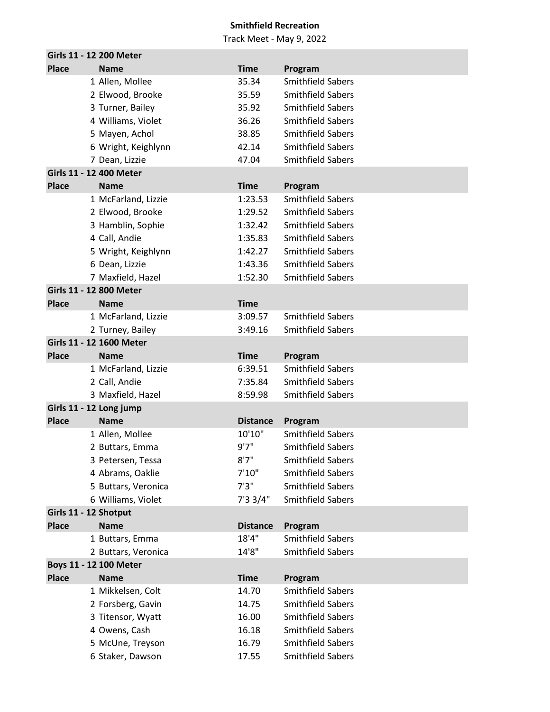|                       | Girls 11 - 12 200 Meter  |                 |                          |
|-----------------------|--------------------------|-----------------|--------------------------|
| <b>Place</b>          | <b>Name</b>              | <b>Time</b>     | Program                  |
|                       | 1 Allen, Mollee          | 35.34           | <b>Smithfield Sabers</b> |
|                       | 2 Elwood, Brooke         | 35.59           | <b>Smithfield Sabers</b> |
|                       | 3 Turner, Bailey         | 35.92           | <b>Smithfield Sabers</b> |
|                       | 4 Williams, Violet       | 36.26           | <b>Smithfield Sabers</b> |
|                       | 5 Mayen, Achol           | 38.85           | <b>Smithfield Sabers</b> |
|                       | 6 Wright, Keighlynn      | 42.14           | <b>Smithfield Sabers</b> |
|                       | 7 Dean, Lizzie           | 47.04           | <b>Smithfield Sabers</b> |
|                       | Girls 11 - 12 400 Meter  |                 |                          |
| <b>Place</b>          | <b>Name</b>              | <b>Time</b>     | Program                  |
|                       | 1 McFarland, Lizzie      | 1:23.53         | <b>Smithfield Sabers</b> |
|                       | 2 Elwood, Brooke         | 1:29.52         | <b>Smithfield Sabers</b> |
|                       | 3 Hamblin, Sophie        | 1:32.42         | <b>Smithfield Sabers</b> |
|                       | 4 Call, Andie            | 1:35.83         | <b>Smithfield Sabers</b> |
|                       | 5 Wright, Keighlynn      | 1:42.27         | <b>Smithfield Sabers</b> |
|                       | 6 Dean, Lizzie           | 1:43.36         | <b>Smithfield Sabers</b> |
|                       | 7 Maxfield, Hazel        | 1:52.30         | <b>Smithfield Sabers</b> |
|                       | Girls 11 - 12 800 Meter  |                 |                          |
| <b>Place</b>          | <b>Name</b>              | <b>Time</b>     |                          |
|                       | 1 McFarland, Lizzie      | 3:09.57         | <b>Smithfield Sabers</b> |
|                       | 2 Turney, Bailey         | 3:49.16         | <b>Smithfield Sabers</b> |
|                       | Girls 11 - 12 1600 Meter |                 |                          |
| <b>Place</b>          | <b>Name</b>              | <b>Time</b>     | Program                  |
|                       | 1 McFarland, Lizzie      | 6:39.51         | <b>Smithfield Sabers</b> |
|                       | 2 Call, Andie            | 7:35.84         | <b>Smithfield Sabers</b> |
|                       | 3 Maxfield, Hazel        | 8:59.98         | <b>Smithfield Sabers</b> |
|                       | Girls 11 - 12 Long jump  |                 |                          |
| <b>Place</b>          | <b>Name</b>              | <b>Distance</b> | Program                  |
|                       | 1 Allen, Mollee          | 10'10"          | <b>Smithfield Sabers</b> |
|                       | 2 Buttars, Emma          | 9'7''           | <b>Smithfield Sabers</b> |
|                       | 3 Petersen, Tessa        | 8'7''           | <b>Smithfield Sabers</b> |
|                       | 4 Abrams, Oaklie         | 7'10''          | <b>Smithfield Sabers</b> |
|                       | 5 Buttars, Veronica      | 7'3''           | <b>Smithfield Sabers</b> |
|                       | 6 Williams, Violet       | 7'33/4"         | <b>Smithfield Sabers</b> |
| Girls 11 - 12 Shotput |                          |                 |                          |
| <b>Place</b>          | <b>Name</b>              | <b>Distance</b> | Program                  |
|                       | 1 Buttars, Emma          | 18'4"           | <b>Smithfield Sabers</b> |
|                       | 2 Buttars, Veronica      | 14'8"           | <b>Smithfield Sabers</b> |
|                       | Boys 11 - 12 100 Meter   |                 |                          |
| <b>Place</b>          | <b>Name</b>              | <b>Time</b>     | Program                  |
|                       | 1 Mikkelsen, Colt        | 14.70           | <b>Smithfield Sabers</b> |
|                       | 2 Forsberg, Gavin        | 14.75           | <b>Smithfield Sabers</b> |
|                       | 3 Titensor, Wyatt        | 16.00           | <b>Smithfield Sabers</b> |
|                       | 4 Owens, Cash            | 16.18           | <b>Smithfield Sabers</b> |
|                       | 5 McUne, Treyson         | 16.79           | <b>Smithfield Sabers</b> |
|                       | 6 Staker, Dawson         | 17.55           | Smithfield Sabers        |
|                       |                          |                 |                          |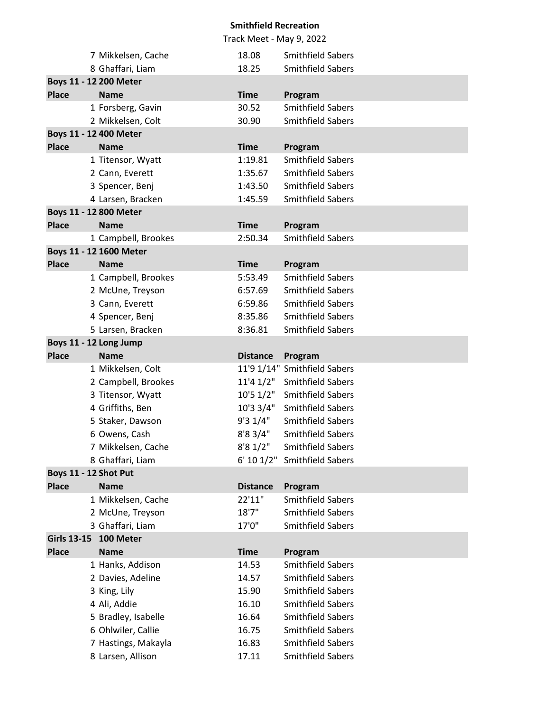|                       |                         |                 | Track Meet - May 9, 2022     |
|-----------------------|-------------------------|-----------------|------------------------------|
|                       | 7 Mikkelsen, Cache      | 18.08           | <b>Smithfield Sabers</b>     |
|                       | 8 Ghaffari, Liam        | 18.25           | <b>Smithfield Sabers</b>     |
|                       | Boys 11 - 12 200 Meter  |                 |                              |
| <b>Place</b>          | <b>Name</b>             | <b>Time</b>     | Program                      |
|                       | 1 Forsberg, Gavin       | 30.52           | <b>Smithfield Sabers</b>     |
|                       | 2 Mikkelsen, Colt       | 30.90           | <b>Smithfield Sabers</b>     |
|                       | Boys 11 - 12 400 Meter  |                 |                              |
| <b>Place</b>          | <b>Name</b>             | <b>Time</b>     | Program                      |
|                       | 1 Titensor, Wyatt       | 1:19.81         | <b>Smithfield Sabers</b>     |
|                       | 2 Cann, Everett         | 1:35.67         | <b>Smithfield Sabers</b>     |
|                       | 3 Spencer, Benj         | 1:43.50         | <b>Smithfield Sabers</b>     |
|                       | 4 Larsen, Bracken       | 1:45.59         | <b>Smithfield Sabers</b>     |
|                       | Boys 11 - 12 800 Meter  |                 |                              |
| <b>Place</b>          | <b>Name</b>             | <b>Time</b>     | Program                      |
|                       | 1 Campbell, Brookes     | 2:50.34         | <b>Smithfield Sabers</b>     |
|                       | Boys 11 - 12 1600 Meter |                 |                              |
| <b>Place</b>          | <b>Name</b>             | <b>Time</b>     | Program                      |
|                       | 1 Campbell, Brookes     | 5:53.49         | <b>Smithfield Sabers</b>     |
|                       | 2 McUne, Treyson        | 6:57.69         | <b>Smithfield Sabers</b>     |
|                       | 3 Cann, Everett         | 6:59.86         | <b>Smithfield Sabers</b>     |
|                       | 4 Spencer, Benj         | 8:35.86         | <b>Smithfield Sabers</b>     |
|                       | 5 Larsen, Bracken       | 8:36.81         | <b>Smithfield Sabers</b>     |
|                       | Boys 11 - 12 Long Jump  |                 |                              |
|                       |                         |                 |                              |
| <b>Place</b>          | <b>Name</b>             | <b>Distance</b> | Program                      |
|                       | 1 Mikkelsen, Colt       |                 | 11'9 1/14" Smithfield Sabers |
|                       | 2 Campbell, Brookes     |                 | 11'4 1/2" Smithfield Sabers  |
|                       | 3 Titensor, Wyatt       |                 | 10'5 1/2" Smithfield Sabers  |
|                       | 4 Griffiths, Ben        | 10'3 3/4"       | Smithfield Sabers            |
|                       | 5 Staker, Dawson        | 9'31/4"         | <b>Smithfield Sabers</b>     |
|                       | 6 Owens, Cash           | 8'8 3/4"        | <b>Smithfield Sabers</b>     |
|                       | 7 Mikkelsen, Cache      | 8'81/2"         | <b>Smithfield Sabers</b>     |
|                       | 8 Ghaffari, Liam        | 6' 10 1/2"      | <b>Smithfield Sabers</b>     |
| Boys 11 - 12 Shot Put |                         |                 |                              |
| <b>Place</b>          | <b>Name</b>             | <b>Distance</b> | Program                      |
|                       | 1 Mikkelsen, Cache      | 22'11"          | <b>Smithfield Sabers</b>     |
|                       | 2 McUne, Treyson        | 18'7''          | <b>Smithfield Sabers</b>     |
|                       | 3 Ghaffari, Liam        | 17'0"           | <b>Smithfield Sabers</b>     |
| <b>Girls 13-15</b>    | 100 Meter               |                 |                              |
| <b>Place</b>          | <b>Name</b>             | <b>Time</b>     | Program                      |
|                       | 1 Hanks, Addison        | 14.53           | <b>Smithfield Sabers</b>     |
|                       | 2 Davies, Adeline       | 14.57           | <b>Smithfield Sabers</b>     |
|                       | 3 King, Lily            | 15.90           | <b>Smithfield Sabers</b>     |
|                       | 4 Ali, Addie            | 16.10           | <b>Smithfield Sabers</b>     |
|                       | 5 Bradley, Isabelle     | 16.64           | <b>Smithfield Sabers</b>     |
|                       | 6 Ohlwiler, Callie      | 16.75           | <b>Smithfield Sabers</b>     |
|                       | 7 Hastings, Makayla     | 16.83           | <b>Smithfield Sabers</b>     |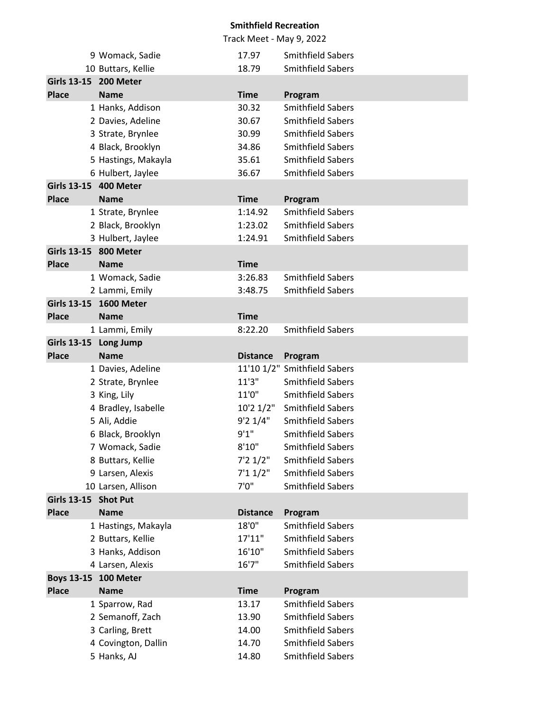|                    | 9 Womack, Sadie                 | 17.97           | <b>Smithfield Sabers</b>                |
|--------------------|---------------------------------|-----------------|-----------------------------------------|
|                    | 10 Buttars, Kellie              | 18.79           | <b>Smithfield Sabers</b>                |
|                    | Girls 13-15 200 Meter           |                 |                                         |
| <b>Place</b>       | <b>Name</b>                     | <b>Time</b>     | Program                                 |
|                    | 1 Hanks, Addison                | 30.32           | <b>Smithfield Sabers</b>                |
|                    | 2 Davies, Adeline               | 30.67           | <b>Smithfield Sabers</b>                |
|                    | 3 Strate, Brynlee               | 30.99           | <b>Smithfield Sabers</b>                |
|                    | 4 Black, Brooklyn               | 34.86           | <b>Smithfield Sabers</b>                |
|                    | 5 Hastings, Makayla             | 35.61           | <b>Smithfield Sabers</b>                |
|                    | 6 Hulbert, Jaylee               | 36.67           | <b>Smithfield Sabers</b>                |
|                    | Girls 13-15 400 Meter           |                 |                                         |
| <b>Place</b>       | <b>Name</b>                     | <b>Time</b>     | Program                                 |
|                    | 1 Strate, Brynlee               | 1:14.92         | <b>Smithfield Sabers</b>                |
|                    | 2 Black, Brooklyn               | 1:23.02         | <b>Smithfield Sabers</b>                |
|                    | 3 Hulbert, Jaylee               | 1:24.91         | <b>Smithfield Sabers</b>                |
|                    | Girls 13-15 800 Meter           |                 |                                         |
| <b>Place</b>       | <b>Name</b>                     | <b>Time</b>     |                                         |
|                    | 1 Womack, Sadie                 | 3:26.83         | <b>Smithfield Sabers</b>                |
|                    | 2 Lammi, Emily                  | 3:48.75         | <b>Smithfield Sabers</b>                |
|                    | Girls 13-15 1600 Meter          |                 |                                         |
| <b>Place</b>       | <b>Name</b>                     | <b>Time</b>     |                                         |
| <b>Girls 13-15</b> | 1 Lammi, Emily                  | 8:22.20         | <b>Smithfield Sabers</b>                |
| <b>Place</b>       | <b>Long Jump</b><br><b>Name</b> |                 |                                         |
|                    | 1 Davies, Adeline               | <b>Distance</b> | Program<br>11'10 1/2" Smithfield Sabers |
|                    | 2 Strate, Brynlee               | 11'3''          | <b>Smithfield Sabers</b>                |
|                    | 3 King, Lily                    | 11'0"           | <b>Smithfield Sabers</b>                |
|                    | 4 Bradley, Isabelle             | 10'21/2"        | <b>Smithfield Sabers</b>                |
|                    | 5 Ali, Addie                    | 9'21/4"         | <b>Smithfield Sabers</b>                |
|                    | 6 Black, Brooklyn               | 9'1''           | <b>Smithfield Sabers</b>                |
|                    | 7 Womack, Sadie                 | 8'10''          | <b>Smithfield Sabers</b>                |
|                    | 8 Buttars, Kellie               | 7'21/2"         | <b>Smithfield Sabers</b>                |
|                    | 9 Larsen, Alexis                | 7'11/2"         | <b>Smithfield Sabers</b>                |
|                    | 10 Larsen, Allison              | 7'0''           | <b>Smithfield Sabers</b>                |
| <b>Girls 13-15</b> | <b>Shot Put</b>                 |                 |                                         |
| <b>Place</b>       | <b>Name</b>                     | <b>Distance</b> | Program                                 |
|                    | 1 Hastings, Makayla             | 18'0"           | <b>Smithfield Sabers</b>                |
|                    | 2 Buttars, Kellie               | 17'11"          | <b>Smithfield Sabers</b>                |
|                    | 3 Hanks, Addison                | 16'10"          | <b>Smithfield Sabers</b>                |
|                    | 4 Larsen, Alexis                | 16'7''          | <b>Smithfield Sabers</b>                |
|                    | Boys 13-15 100 Meter            |                 |                                         |
| <b>Place</b>       | <b>Name</b>                     | <b>Time</b>     | Program                                 |
|                    | 1 Sparrow, Rad                  | 13.17           | <b>Smithfield Sabers</b>                |
|                    | 2 Semanoff, Zach                | 13.90           | <b>Smithfield Sabers</b>                |
|                    | 3 Carling, Brett                | 14.00           | <b>Smithfield Sabers</b>                |
|                    | 4 Covington, Dallin             | 14.70           | <b>Smithfield Sabers</b>                |
|                    | 5 Hanks, AJ                     | 14.80           | <b>Smithfield Sabers</b>                |